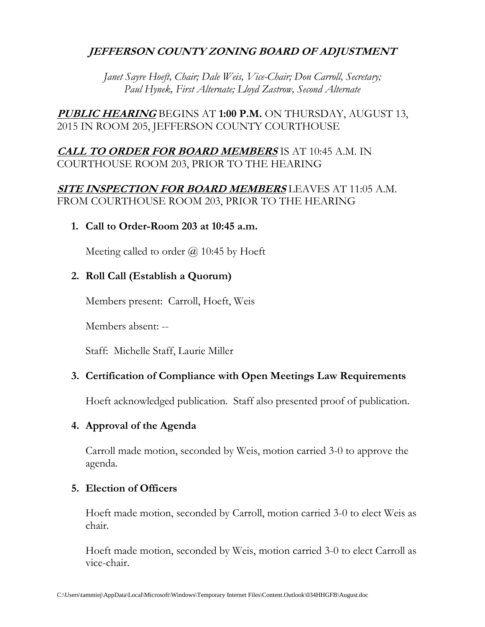# **JEFFERSON COUNTY ZONING BOARD OF ADJUSTMENT**

*Janet Sayre Hoeft, Chair; Dale Weis, Vice-Chair; Don Carroll, Secretary; Paul Hynek, First Alternate; Lloyd Zastrow, Second Alternate*

**PUBLIC HEARING** BEGINS AT **1:00 P.M.** ON THURSDAY, AUGUST 13, 2015 IN ROOM 205, JEFFERSON COUNTY COURTHOUSE

## **CALL TO ORDER FOR BOARD MEMBERS** IS AT 10:45 A.M. IN COURTHOUSE ROOM 203, PRIOR TO THE HEARING

## **SITE INSPECTION FOR BOARD MEMBERS** LEAVES AT 11:05 A.M. FROM COURTHOUSE ROOM 203, PRIOR TO THE HEARING

**1. Call to Order-Room 203 at 10:45 a.m.**

Meeting called to order  $\omega$  10:45 by Hoeft

## **2. Roll Call (Establish a Quorum)**

Members present: Carroll, Hoeft, Weis

Members absent: --

Staff: Michelle Staff, Laurie Miller

### **3. Certification of Compliance with Open Meetings Law Requirements**

Hoeft acknowledged publication. Staff also presented proof of publication.

### **4. Approval of the Agenda**

Carroll made motion, seconded by Weis, motion carried 3-0 to approve the agenda.

## **5. Election of Officers**

Hoeft made motion, seconded by Carroll, motion carried 3-0 to elect Weis as chair.

Hoeft made motion, seconded by Weis, motion carried 3-0 to elect Carroll as vice-chair.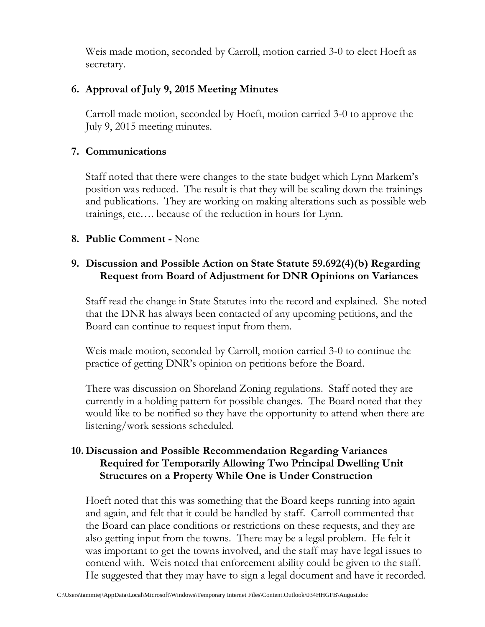Weis made motion, seconded by Carroll, motion carried 3-0 to elect Hoeft as secretary.

# **6. Approval of July 9, 2015 Meeting Minutes**

Carroll made motion, seconded by Hoeft, motion carried 3-0 to approve the July 9, 2015 meeting minutes.

# **7. Communications**

Staff noted that there were changes to the state budget which Lynn Markem's position was reduced. The result is that they will be scaling down the trainings and publications. They are working on making alterations such as possible web trainings, etc…. because of the reduction in hours for Lynn.

# **8. Public Comment -** None

# **9. Discussion and Possible Action on State Statute 59.692(4)(b) Regarding Request from Board of Adjustment for DNR Opinions on Variances**

Staff read the change in State Statutes into the record and explained. She noted that the DNR has always been contacted of any upcoming petitions, and the Board can continue to request input from them.

Weis made motion, seconded by Carroll, motion carried 3-0 to continue the practice of getting DNR's opinion on petitions before the Board.

There was discussion on Shoreland Zoning regulations. Staff noted they are currently in a holding pattern for possible changes. The Board noted that they would like to be notified so they have the opportunity to attend when there are listening/work sessions scheduled.

# **10. Discussion and Possible Recommendation Regarding Variances Required for Temporarily Allowing Two Principal Dwelling Unit Structures on a Property While One is Under Construction**

Hoeft noted that this was something that the Board keeps running into again and again, and felt that it could be handled by staff. Carroll commented that the Board can place conditions or restrictions on these requests, and they are also getting input from the towns. There may be a legal problem. He felt it was important to get the towns involved, and the staff may have legal issues to contend with. Weis noted that enforcement ability could be given to the staff. He suggested that they may have to sign a legal document and have it recorded.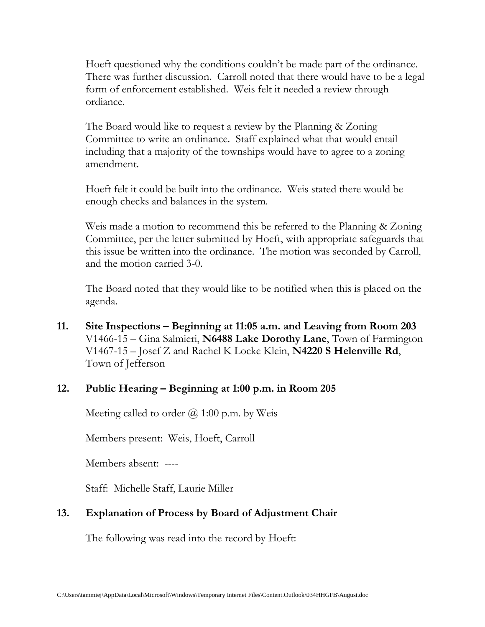Hoeft questioned why the conditions couldn't be made part of the ordinance. There was further discussion. Carroll noted that there would have to be a legal form of enforcement established. Weis felt it needed a review through ordiance.

The Board would like to request a review by the Planning & Zoning Committee to write an ordinance. Staff explained what that would entail including that a majority of the townships would have to agree to a zoning amendment.

Hoeft felt it could be built into the ordinance. Weis stated there would be enough checks and balances in the system.

Weis made a motion to recommend this be referred to the Planning & Zoning Committee, per the letter submitted by Hoeft, with appropriate safeguards that this issue be written into the ordinance. The motion was seconded by Carroll, and the motion carried 3-0.

The Board noted that they would like to be notified when this is placed on the agenda.

**11. Site Inspections – Beginning at 11:05 a.m. and Leaving from Room 203** V1466-15 – Gina Salmieri, **N6488 Lake Dorothy Lane**, Town of Farmington V1467-15 – Josef Z and Rachel K Locke Klein, **N4220 S Helenville Rd**, Town of Jefferson

### **12. Public Hearing – Beginning at 1:00 p.m. in Room 205**

Meeting called to order  $(a)$  1:00 p.m. by Weis

Members present: Weis, Hoeft, Carroll

Members absent: ----

Staff: Michelle Staff, Laurie Miller

## **13. Explanation of Process by Board of Adjustment Chair**

The following was read into the record by Hoeft: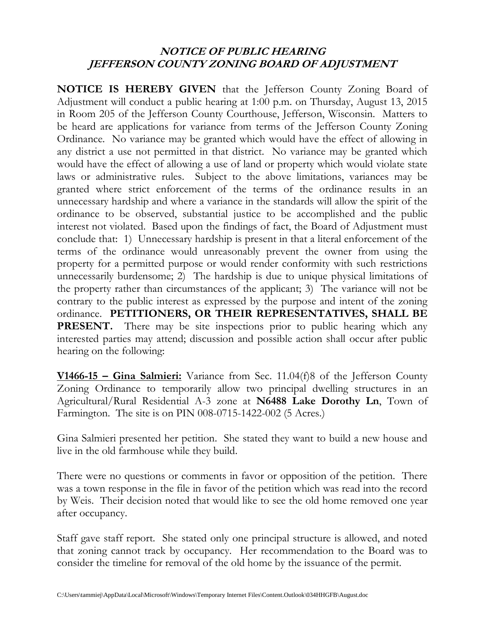# **NOTICE OF PUBLIC HEARING JEFFERSON COUNTY ZONING BOARD OF ADJUSTMENT**

**NOTICE IS HEREBY GIVEN** that the Jefferson County Zoning Board of Adjustment will conduct a public hearing at 1:00 p.m. on Thursday, August 13, 2015 in Room 205 of the Jefferson County Courthouse, Jefferson, Wisconsin. Matters to be heard are applications for variance from terms of the Jefferson County Zoning Ordinance. No variance may be granted which would have the effect of allowing in any district a use not permitted in that district. No variance may be granted which would have the effect of allowing a use of land or property which would violate state laws or administrative rules. Subject to the above limitations, variances may be granted where strict enforcement of the terms of the ordinance results in an unnecessary hardship and where a variance in the standards will allow the spirit of the ordinance to be observed, substantial justice to be accomplished and the public interest not violated. Based upon the findings of fact, the Board of Adjustment must conclude that: 1) Unnecessary hardship is present in that a literal enforcement of the terms of the ordinance would unreasonably prevent the owner from using the property for a permitted purpose or would render conformity with such restrictions unnecessarily burdensome; 2) The hardship is due to unique physical limitations of the property rather than circumstances of the applicant; 3) The variance will not be contrary to the public interest as expressed by the purpose and intent of the zoning ordinance. **PETITIONERS, OR THEIR REPRESENTATIVES, SHALL BE PRESENT.** There may be site inspections prior to public hearing which any interested parties may attend; discussion and possible action shall occur after public hearing on the following:

**V1466-15 – Gina Salmieri:** Variance from Sec. 11.04(f)8 of the Jefferson County Zoning Ordinance to temporarily allow two principal dwelling structures in an Agricultural/Rural Residential A-3 zone at **N6488 Lake Dorothy Ln**, Town of Farmington. The site is on PIN 008-0715-1422-002 (5 Acres.)

Gina Salmieri presented her petition. She stated they want to build a new house and live in the old farmhouse while they build.

There were no questions or comments in favor or opposition of the petition. There was a town response in the file in favor of the petition which was read into the record by Weis. Their decision noted that would like to see the old home removed one year after occupancy.

Staff gave staff report. She stated only one principal structure is allowed, and noted that zoning cannot track by occupancy. Her recommendation to the Board was to consider the timeline for removal of the old home by the issuance of the permit.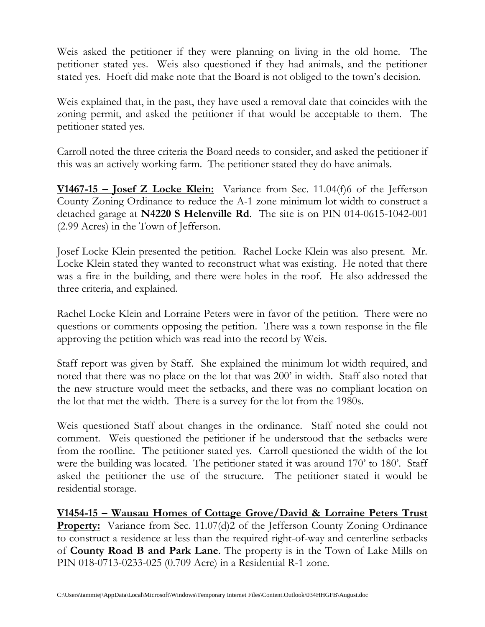Weis asked the petitioner if they were planning on living in the old home. The petitioner stated yes. Weis also questioned if they had animals, and the petitioner stated yes. Hoeft did make note that the Board is not obliged to the town's decision.

Weis explained that, in the past, they have used a removal date that coincides with the zoning permit, and asked the petitioner if that would be acceptable to them. The petitioner stated yes.

Carroll noted the three criteria the Board needs to consider, and asked the petitioner if this was an actively working farm. The petitioner stated they do have animals.

**V1467-15 – Josef Z Locke Klein:** Variance from Sec. 11.04(f)6 of the Jefferson County Zoning Ordinance to reduce the A-1 zone minimum lot width to construct a detached garage at **N4220 S Helenville Rd**. The site is on PIN 014-0615-1042-001 (2.99 Acres) in the Town of Jefferson.

Josef Locke Klein presented the petition. Rachel Locke Klein was also present. Mr. Locke Klein stated they wanted to reconstruct what was existing. He noted that there was a fire in the building, and there were holes in the roof. He also addressed the three criteria, and explained.

Rachel Locke Klein and Lorraine Peters were in favor of the petition. There were no questions or comments opposing the petition. There was a town response in the file approving the petition which was read into the record by Weis.

Staff report was given by Staff. She explained the minimum lot width required, and noted that there was no place on the lot that was 200' in width. Staff also noted that the new structure would meet the setbacks, and there was no compliant location on the lot that met the width. There is a survey for the lot from the 1980s.

Weis questioned Staff about changes in the ordinance. Staff noted she could not comment. Weis questioned the petitioner if he understood that the setbacks were from the roofline. The petitioner stated yes. Carroll questioned the width of the lot were the building was located. The petitioner stated it was around 170' to 180'. Staff asked the petitioner the use of the structure. The petitioner stated it would be residential storage.

**V1454-15 – Wausau Homes of Cottage Grove/David & Lorraine Peters Trust Property:** Variance from Sec. 11.07(d)2 of the Jefferson County Zoning Ordinance to construct a residence at less than the required right-of-way and centerline setbacks of **County Road B and Park Lane**. The property is in the Town of Lake Mills on PIN 018-0713-0233-025 (0.709 Acre) in a Residential R-1 zone.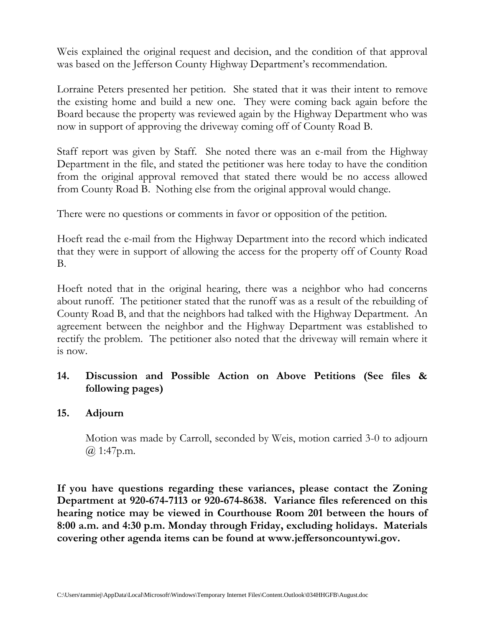Weis explained the original request and decision, and the condition of that approval was based on the Jefferson County Highway Department's recommendation.

Lorraine Peters presented her petition. She stated that it was their intent to remove the existing home and build a new one. They were coming back again before the Board because the property was reviewed again by the Highway Department who was now in support of approving the driveway coming off of County Road B.

Staff report was given by Staff. She noted there was an e-mail from the Highway Department in the file, and stated the petitioner was here today to have the condition from the original approval removed that stated there would be no access allowed from County Road B. Nothing else from the original approval would change.

There were no questions or comments in favor or opposition of the petition.

Hoeft read the e-mail from the Highway Department into the record which indicated that they were in support of allowing the access for the property off of County Road B.

Hoeft noted that in the original hearing, there was a neighbor who had concerns about runoff. The petitioner stated that the runoff was as a result of the rebuilding of County Road B, and that the neighbors had talked with the Highway Department. An agreement between the neighbor and the Highway Department was established to rectify the problem. The petitioner also noted that the driveway will remain where it is now.

# **14. Discussion and Possible Action on Above Petitions (See files & following pages)**

## **15. Adjourn**

Motion was made by Carroll, seconded by Weis, motion carried 3-0 to adjourn @ 1:47p.m.

**If you have questions regarding these variances, please contact the Zoning Department at 920-674-7113 or 920-674-8638. Variance files referenced on this hearing notice may be viewed in Courthouse Room 201 between the hours of 8:00 a.m. and 4:30 p.m. Monday through Friday, excluding holidays. Materials covering other agenda items can be found at www.jeffersoncountywi.gov.**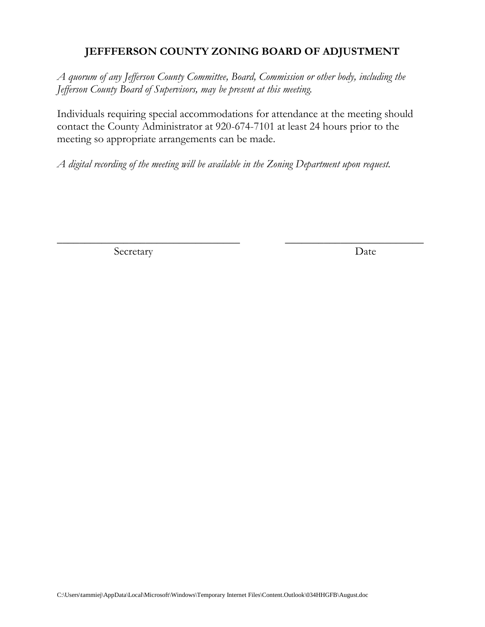# **JEFFFERSON COUNTY ZONING BOARD OF ADJUSTMENT**

*A quorum of any Jefferson County Committee, Board, Commission or other body, including the Jefferson County Board of Supervisors, may be present at this meeting.*

Individuals requiring special accommodations for attendance at the meeting should contact the County Administrator at 920-674-7101 at least 24 hours prior to the meeting so appropriate arrangements can be made.

 $\overline{\phantom{a}}$  , and the contract of the contract of the contract of the contract of the contract of the contract of the contract of the contract of the contract of the contract of the contract of the contract of the contrac

*A digital recording of the meeting will be available in the Zoning Department upon request.*

Secretary Date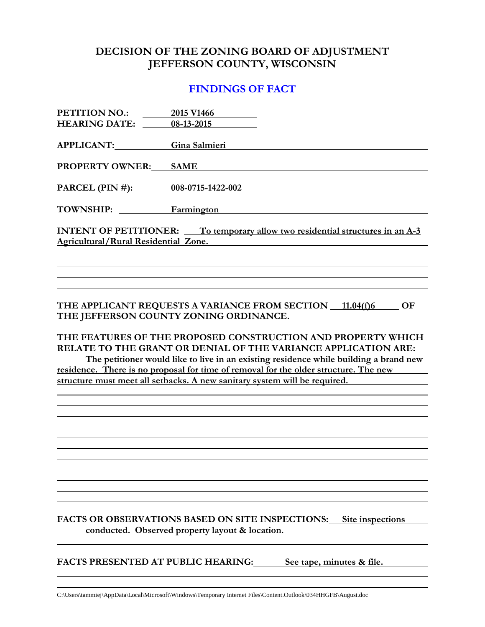## **DECISION OF THE ZONING BOARD OF ADJUSTMENT JEFFERSON COUNTY, WISCONSIN**

#### **FINDINGS OF FACT**

| PETITION NO.:<br><b>HEARING DATE:</b>                                                                                                                                                                                                                                                                                                                                                                                       | 2015 V1466<br>08-13-2015                                             |  |
|-----------------------------------------------------------------------------------------------------------------------------------------------------------------------------------------------------------------------------------------------------------------------------------------------------------------------------------------------------------------------------------------------------------------------------|----------------------------------------------------------------------|--|
| <b>APPLICANT:</b>                                                                                                                                                                                                                                                                                                                                                                                                           | Gina Salmieri                                                        |  |
| <b>PROPERTY OWNER:</b>                                                                                                                                                                                                                                                                                                                                                                                                      | <b>SAME</b>                                                          |  |
| PARCEL (PIN #):                                                                                                                                                                                                                                                                                                                                                                                                             | 008-0715-1422-002                                                    |  |
| <b>TOWNSHIP:</b>                                                                                                                                                                                                                                                                                                                                                                                                            | Farmington                                                           |  |
| <b>INTENT OF PETITIONER:</b> To temporary allow two residential structures in an A-3<br><b>Agricultural/Rural Residential Zone.</b>                                                                                                                                                                                                                                                                                         |                                                                      |  |
|                                                                                                                                                                                                                                                                                                                                                                                                                             |                                                                      |  |
|                                                                                                                                                                                                                                                                                                                                                                                                                             |                                                                      |  |
|                                                                                                                                                                                                                                                                                                                                                                                                                             |                                                                      |  |
| THE APPLICANT REQUESTS A VARIANCE FROM SECTION 11.04(f)6<br>OF<br>THE JEFFERSON COUNTY ZONING ORDINANCE.<br>THE FEATURES OF THE PROPOSED CONSTRUCTION AND PROPERTY WHICH<br>RELATE TO THE GRANT OR DENIAL OF THE VARIANCE APPLICATION ARE:<br>The petitioner would like to live in an existing residence while building a brand new<br>residence. There is no proposal for time of removal for the older structure. The new |                                                                      |  |
| structure must meet all setbacks. A new sanitary system will be required.                                                                                                                                                                                                                                                                                                                                                   |                                                                      |  |
|                                                                                                                                                                                                                                                                                                                                                                                                                             |                                                                      |  |
|                                                                                                                                                                                                                                                                                                                                                                                                                             |                                                                      |  |
|                                                                                                                                                                                                                                                                                                                                                                                                                             |                                                                      |  |
|                                                                                                                                                                                                                                                                                                                                                                                                                             |                                                                      |  |
|                                                                                                                                                                                                                                                                                                                                                                                                                             |                                                                      |  |
|                                                                                                                                                                                                                                                                                                                                                                                                                             |                                                                      |  |
|                                                                                                                                                                                                                                                                                                                                                                                                                             |                                                                      |  |
|                                                                                                                                                                                                                                                                                                                                                                                                                             |                                                                      |  |
|                                                                                                                                                                                                                                                                                                                                                                                                                             |                                                                      |  |
|                                                                                                                                                                                                                                                                                                                                                                                                                             | FACTS OR OBSERVATIONS BASED ON SITE INSPECTIONS:<br>Site inspections |  |

**conducted. Observed property layout & location.**

**FACTS PRESENTED AT PUBLIC HEARING: See tape, minutes & file.**

C:\Users\tammiej\AppData\Local\Microsoft\Windows\Temporary Internet Files\Content.Outlook\034HHGFB\August.doc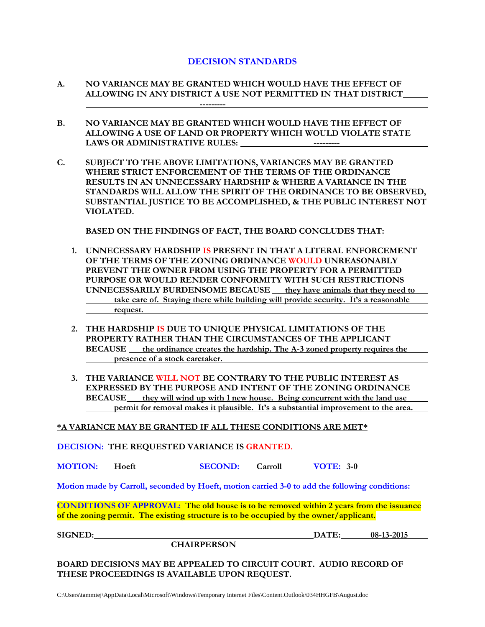#### **DECISION STANDARDS**

- **A. NO VARIANCE MAY BE GRANTED WHICH WOULD HAVE THE EFFECT OF ALLOWING IN ANY DISTRICT A USE NOT PERMITTED IN THAT DISTRICT ---------**
- **B. NO VARIANCE MAY BE GRANTED WHICH WOULD HAVE THE EFFECT OF ALLOWING A USE OF LAND OR PROPERTY WHICH WOULD VIOLATE STATE LAWS OR ADMINISTRATIVE RULES: ---------**
- **C. SUBJECT TO THE ABOVE LIMITATIONS, VARIANCES MAY BE GRANTED WHERE STRICT ENFORCEMENT OF THE TERMS OF THE ORDINANCE RESULTS IN AN UNNECESSARY HARDSHIP & WHERE A VARIANCE IN THE STANDARDS WILL ALLOW THE SPIRIT OF THE ORDINANCE TO BE OBSERVED, SUBSTANTIAL JUSTICE TO BE ACCOMPLISHED, & THE PUBLIC INTEREST NOT VIOLATED.**

**BASED ON THE FINDINGS OF FACT, THE BOARD CONCLUDES THAT:**

- **1. UNNECESSARY HARDSHIP IS PRESENT IN THAT A LITERAL ENFORCEMENT OF THE TERMS OF THE ZONING ORDINANCE WOULD UNREASONABLY PREVENT THE OWNER FROM USING THE PROPERTY FOR A PERMITTED PURPOSE OR WOULD RENDER CONFORMITY WITH SUCH RESTRICTIONS UNNECESSARILY BURDENSOME BECAUSE they have animals that they need to take care of. Staying there while building will provide security. It's a reasonable request.**
- **2. THE HARDSHIP IS DUE TO UNIQUE PHYSICAL LIMITATIONS OF THE PROPERTY RATHER THAN THE CIRCUMSTANCES OF THE APPLICANT BECAUSE** the ordinance creates the hardship. The A-3 zoned property requires the **presence of a stock caretaker.**
- **3. THE VARIANCE WILL NOT BE CONTRARY TO THE PUBLIC INTEREST AS EXPRESSED BY THE PURPOSE AND INTENT OF THE ZONING ORDINANCE BECAUSE they will wind up with 1 new house. Being concurrent with the land use permit for removal makes it plausible. It's a substantial improvement to the area.**

**\*A VARIANCE MAY BE GRANTED IF ALL THESE CONDITIONS ARE MET\***

**DECISION: THE REQUESTED VARIANCE IS GRANTED.**

**MOTION: Hoeft SECOND: Carroll VOTE: 3-0**

**Motion made by Carroll, seconded by Hoeft, motion carried 3-0 to add the following conditions:**

**CONDITIONS OF APPROVAL: The old house is to be removed within 2 years from the issuance of the zoning permit. The existing structure is to be occupied by the owner/applicant.**

**CHAIRPERSON**

**SIGNED: DATE: 08-13-2015**

**BOARD DECISIONS MAY BE APPEALED TO CIRCUIT COURT. AUDIO RECORD OF THESE PROCEEDINGS IS AVAILABLE UPON REQUEST.**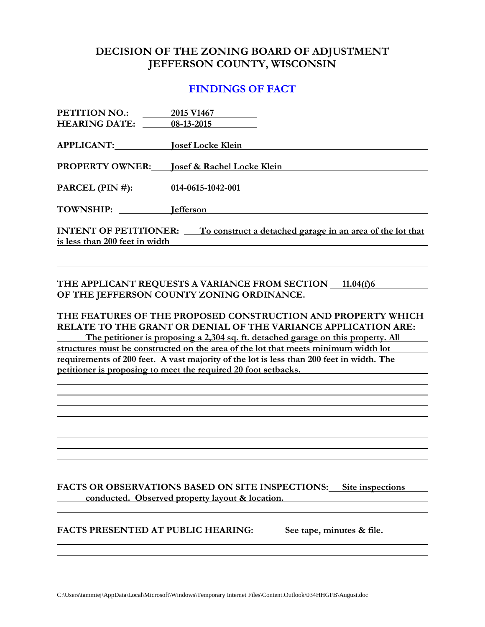## **DECISION OF THE ZONING BOARD OF ADJUSTMENT JEFFERSON COUNTY, WISCONSIN**

#### **FINDINGS OF FACT**

| PETITION NO.:                                                                             | 2015 V1467                        |  |
|-------------------------------------------------------------------------------------------|-----------------------------------|--|
| <b>HEARING DATE:</b>                                                                      | 08-13-2015                        |  |
|                                                                                           |                                   |  |
| APPLICANT:                                                                                | <b>Josef Locke Klein</b>          |  |
|                                                                                           |                                   |  |
| <b>PROPERTY OWNER:</b>                                                                    | Josef & Rachel Locke Klein        |  |
|                                                                                           |                                   |  |
|                                                                                           | PARCEL (PIN #): 014-0615-1042-001 |  |
|                                                                                           |                                   |  |
| <b>TOWNSHIP:</b>                                                                          | <b>I</b> efferson                 |  |
|                                                                                           |                                   |  |
| <b>INTENT OF PETITIONER:</b><br>To construct a detached garage in an area of the lot that |                                   |  |
| is less than 200 feet in width                                                            |                                   |  |
|                                                                                           |                                   |  |

THE APPLICANT REQUESTS A VARIANCE FROM SECTION 11.04(f)6 **OF THE JEFFERSON COUNTY ZONING ORDINANCE.**

**THE FEATURES OF THE PROPOSED CONSTRUCTION AND PROPERTY WHICH RELATE TO THE GRANT OR DENIAL OF THE VARIANCE APPLICATION ARE: The petitioner is proposing a 2,304 sq. ft. detached garage on this property. All structures must be constructed on the area of the lot that meets minimum width lot requirements of 200 feet. A vast majority of the lot is less than 200 feet in width. The petitioner is proposing to meet the required 20 foot setbacks.**

**FACTS OR OBSERVATIONS BASED ON SITE INSPECTIONS: Site inspections conducted. Observed property layout & location.**

**FACTS PRESENTED AT PUBLIC HEARING: See tape, minutes & file.**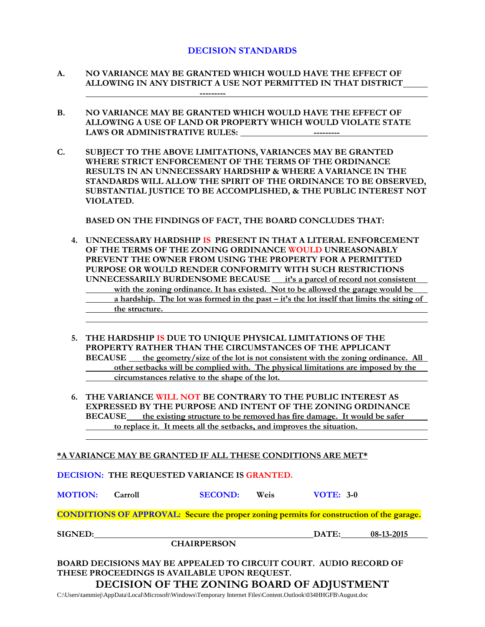#### **DECISION STANDARDS**

- **A. NO VARIANCE MAY BE GRANTED WHICH WOULD HAVE THE EFFECT OF ALLOWING IN ANY DISTRICT A USE NOT PERMITTED IN THAT DISTRICT ---------**
- **B. NO VARIANCE MAY BE GRANTED WHICH WOULD HAVE THE EFFECT OF ALLOWING A USE OF LAND OR PROPERTY WHICH WOULD VIOLATE STATE**  LAWS OR ADMINISTRATIVE RULES: **-----------** ----------
- **C. SUBJECT TO THE ABOVE LIMITATIONS, VARIANCES MAY BE GRANTED WHERE STRICT ENFORCEMENT OF THE TERMS OF THE ORDINANCE RESULTS IN AN UNNECESSARY HARDSHIP & WHERE A VARIANCE IN THE STANDARDS WILL ALLOW THE SPIRIT OF THE ORDINANCE TO BE OBSERVED, SUBSTANTIAL JUSTICE TO BE ACCOMPLISHED, & THE PUBLIC INTEREST NOT VIOLATED.**

**BASED ON THE FINDINGS OF FACT, THE BOARD CONCLUDES THAT:**

- **4. UNNECESSARY HARDSHIP IS PRESENT IN THAT A LITERAL ENFORCEMENT OF THE TERMS OF THE ZONING ORDINANCE WOULD UNREASONABLY PREVENT THE OWNER FROM USING THE PROPERTY FOR A PERMITTED PURPOSE OR WOULD RENDER CONFORMITY WITH SUCH RESTRICTIONS UNNECESSARILY BURDENSOME BECAUSE it's a parcel of record not consistent with the zoning ordinance. It has existed. Not to be allowed the garage would be a hardship. The lot was formed in the past – it's the lot itself that limits the siting of the structure.**
- **5. THE HARDSHIP IS DUE TO UNIQUE PHYSICAL LIMITATIONS OF THE PROPERTY RATHER THAN THE CIRCUMSTANCES OF THE APPLICANT BECAUSE the geometry/size of the lot is not consistent with the zoning ordinance. All other setbacks will be complied with. The physical limitations are imposed by the circumstances relative to the shape of the lot.**
- **6. THE VARIANCE WILL NOT BE CONTRARY TO THE PUBLIC INTEREST AS EXPRESSED BY THE PURPOSE AND INTENT OF THE ZONING ORDINANCE BECAUSE the existing structure to be removed has fire damage. It would be safer to replace it. It meets all the setbacks, and improves the situation.**

#### **\*A VARIANCE MAY BE GRANTED IF ALL THESE CONDITIONS ARE MET\***

**DECISION: THE REQUESTED VARIANCE IS GRANTED.**

**MOTION: Carroll SECOND: Weis VOTE: 3-0**

**CONDITIONS OF APPROVAL: Secure the proper zoning permits for construction of the garage.**

**SIGNED: DATE: 08-13-2015**

**CHAIRPERSON**

**BOARD DECISIONS MAY BE APPEALED TO CIRCUIT COURT. AUDIO RECORD OF THESE PROCEEDINGS IS AVAILABLE UPON REQUEST. DECISION OF THE ZONING BOARD OF ADJUSTMENT**

C:\Users\tammiej\AppData\Local\Microsoft\Windows\Temporary Internet Files\Content.Outlook\034HHGFB\August.doc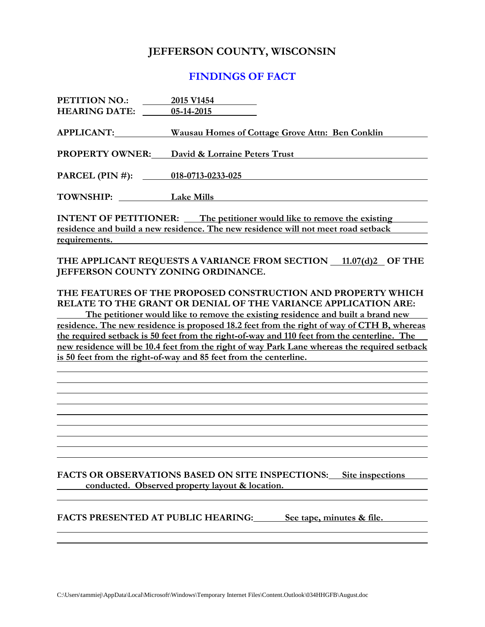### **JEFFERSON COUNTY, WISCONSIN**

#### **FINDINGS OF FACT**

| PETITION NO.:                                                                     | 2015 V1454                                      |  |
|-----------------------------------------------------------------------------------|-------------------------------------------------|--|
| <b>HEARING DATE:</b>                                                              | 05-14-2015                                      |  |
|                                                                                   |                                                 |  |
| <b>APPLICANT:</b>                                                                 | Wausau Homes of Cottage Grove Attn: Ben Conklin |  |
|                                                                                   |                                                 |  |
| <b>PROPERTY OWNER:</b>                                                            | David & Lorraine Peters Trust                   |  |
|                                                                                   |                                                 |  |
| PARCEL (PIN #): 018-0713-0233-025                                                 |                                                 |  |
|                                                                                   |                                                 |  |
| TOWNSHIP: Lake Mills                                                              |                                                 |  |
|                                                                                   |                                                 |  |
| <b>INTENT OF PETITIONER:</b> The petitioner would like to remove the existing     |                                                 |  |
| residence and build a new residence. The new residence will not meet road setback |                                                 |  |
| requirements.                                                                     |                                                 |  |

THE APPLICANT REQUESTS A VARIANCE FROM SECTION 11.07(d)2 OF THE **JEFFERSON COUNTY ZONING ORDINANCE.**

#### **THE FEATURES OF THE PROPOSED CONSTRUCTION AND PROPERTY WHICH RELATE TO THE GRANT OR DENIAL OF THE VARIANCE APPLICATION ARE:**

**The petitioner would like to remove the existing residence and built a brand new residence. The new residence is proposed 18.2 feet from the right of way of CTH B, whereas the required setback is 50 feet from the right-of-way and 110 feet from the centerline. The new residence will be 10.4 feet from the right of way Park Lane whereas the required setback is 50 feet from the right-of-way and 85 feet from the centerline.** 

**FACTS OR OBSERVATIONS BASED ON SITE INSPECTIONS: Site inspections conducted. Observed property layout & location.**

**FACTS PRESENTED AT PUBLIC HEARING: See tape, minutes & file.**